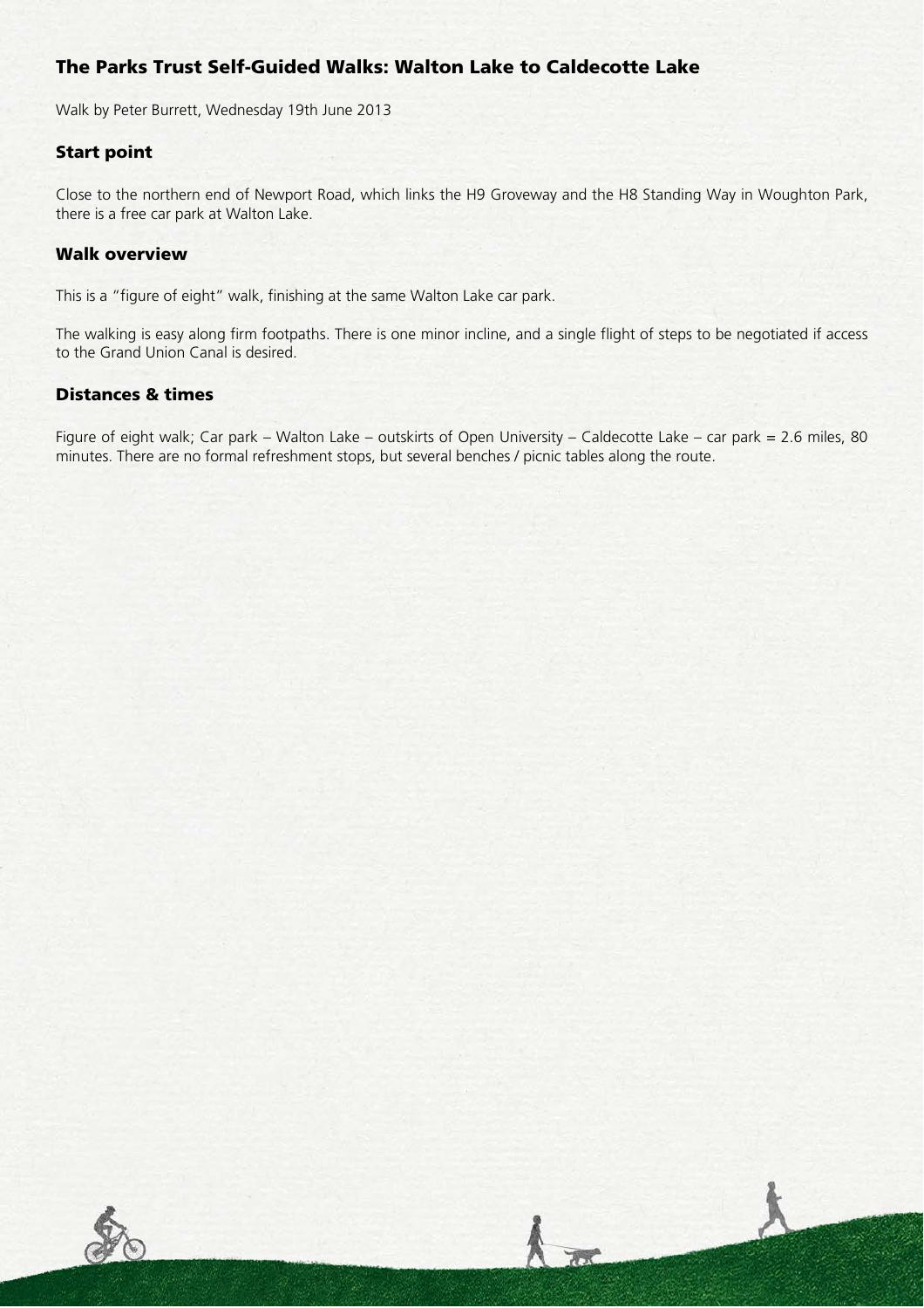# The Parks Trust Self-Guided Walks: Walton Lake to Caldecotte Lake

Walk by Peter Burrett, Wednesday 19th June 2013

## Start point

Close to the northern end of Newport Road, which links the H9 Groveway and the H8 Standing Way in Woughton Park, there is a free car park at Walton Lake.

#### Walk overview

This is a "figure of eight" walk, finishing at the same Walton Lake car park.

The walking is easy along firm footpaths. There is one minor incline, and a single flight of steps to be negotiated if access to the Grand Union Canal is desired.

## Distances & times

Figure of eight walk; Car park – Walton Lake – outskirts of Open University – Caldecotte Lake – car park = 2.6 miles, 80 minutes. There are no formal refreshment stops, but several benches / picnic tables along the route.

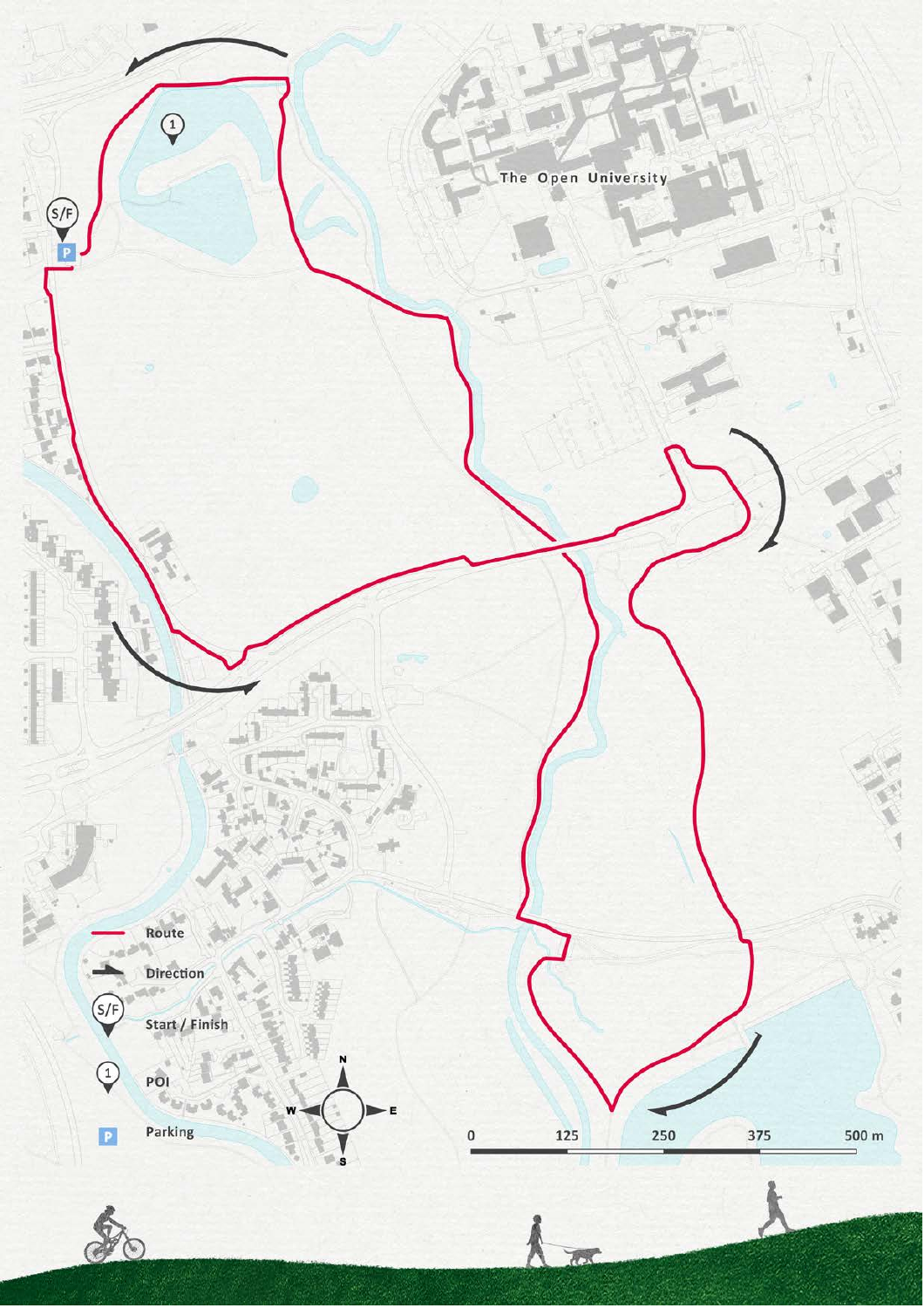